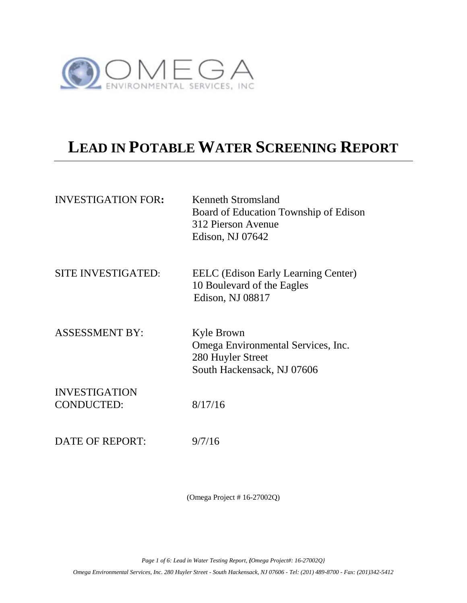

# **LEAD IN POTABLE WATER SCREENING REPORT**

| <b>INVESTIGATION FOR:</b>                 | Kenneth Stromsland<br>Board of Education Township of Edison<br>312 Pierson Avenue<br>Edison, NJ 07642 |
|-------------------------------------------|-------------------------------------------------------------------------------------------------------|
| SITE INVESTIGATED:                        | <b>EELC</b> (Edison Early Learning Center)<br>10 Boulevard of the Eagles<br>Edison, NJ 08817          |
| <b>ASSESSMENT BY:</b>                     | Kyle Brown<br>Omega Environmental Services, Inc.<br>280 Huyler Street<br>South Hackensack, NJ 07606   |
| <b>INVESTIGATION</b><br><b>CONDUCTED:</b> | 8/17/16                                                                                               |
| DATE OF REPORT:                           | 9/7/16                                                                                                |

(Omega Project # 16-27002Q)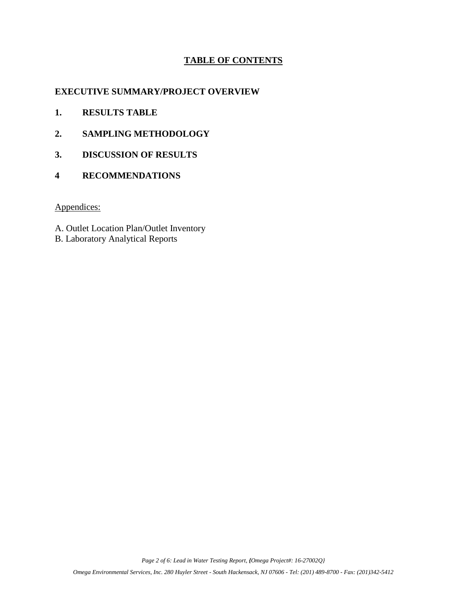# **TABLE OF CONTENTS**

# **EXECUTIVE SUMMARY/PROJECT OVERVIEW**

- **1. RESULTS TABLE**
- **2. SAMPLING METHODOLOGY**
- **3. DISCUSSION OF RESULTS**
- **4 RECOMMENDATIONS**

# Appendices:

- A. Outlet Location Plan/Outlet Inventory
- B. Laboratory Analytical Reports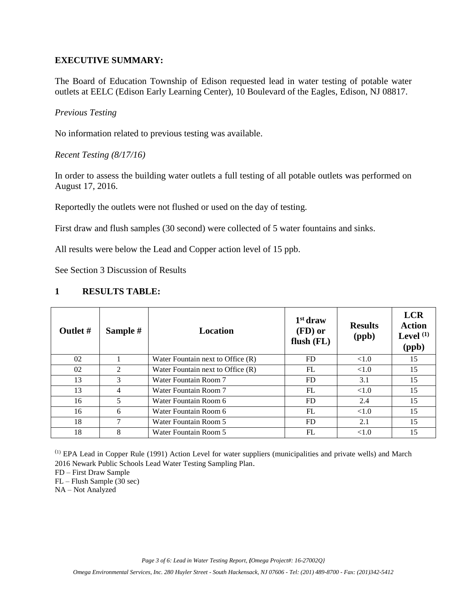# **EXECUTIVE SUMMARY:**

The Board of Education Township of Edison requested lead in water testing of potable water outlets at EELC (Edison Early Learning Center), 10 Boulevard of the Eagles, Edison, NJ 08817.

*Previous Testing*

No information related to previous testing was available.

*Recent Testing (8/17/16)*

In order to assess the building water outlets a full testing of all potable outlets was performed on August 17, 2016.

Reportedly the outlets were not flushed or used on the day of testing.

First draw and flush samples (30 second) were collected of 5 water fountains and sinks.

All results were below the Lead and Copper action level of 15 ppb.

See Section 3 Discussion of Results

# **1 RESULTS TABLE:**

| <b>Outlet #</b> | Sample #       | <b>Location</b>                   | 1 <sup>st</sup> draw<br>(FD) or<br>flush $(FL)$ | <b>Results</b><br>(ppb) | <b>LCR</b><br><b>Action</b><br>Level $(1)$<br>(ppb) |
|-----------------|----------------|-----------------------------------|-------------------------------------------------|-------------------------|-----------------------------------------------------|
| 02              |                | Water Fountain next to Office (R) | FD.                                             | < 1.0                   | 15                                                  |
| 02              | $\mathfrak{D}$ | Water Fountain next to Office (R) | FL                                              | < 1.0                   | 15                                                  |
| 13              | 3              | Water Fountain Room 7             | FD                                              | 3.1                     | 15                                                  |
| 13              | 4              | Water Fountain Room 7             | FL                                              | < 1.0                   | 15                                                  |
| 16              | 5              | Water Fountain Room 6             | <b>FD</b>                                       | 2.4                     | 15                                                  |
| 16              | 6              | Water Fountain Room 6             | FL                                              | < 1.0                   | 15                                                  |
| 18              | 7              | Water Fountain Room 5             | FD                                              | 2.1                     | 15                                                  |
| 18              | 8              | Water Fountain Room 5             | FL                                              | < 1.0                   | 15                                                  |

(1) EPA Lead in Copper Rule (1991) Action Level for water suppliers (municipalities and private wells) and March 2016 Newark Public Schools Lead Water Testing Sampling Plan.

FD – First Draw Sample

FL – Flush Sample (30 sec)

NA – Not Analyzed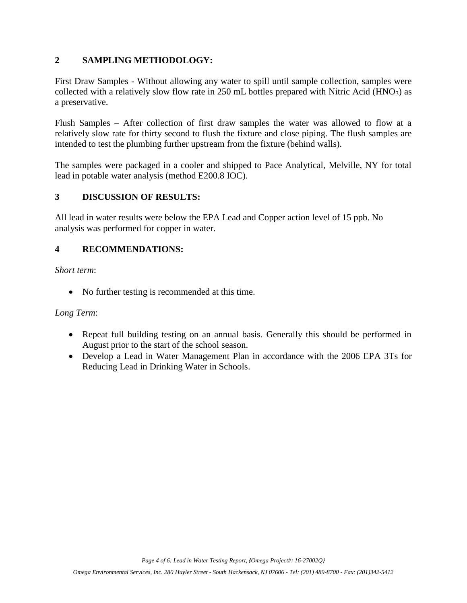# **2 SAMPLING METHODOLOGY:**

First Draw Samples - Without allowing any water to spill until sample collection, samples were collected with a relatively slow flow rate in  $250$  mL bottles prepared with Nitric Acid (HNO<sub>3</sub>) as a preservative.

Flush Samples – After collection of first draw samples the water was allowed to flow at a relatively slow rate for thirty second to flush the fixture and close piping. The flush samples are intended to test the plumbing further upstream from the fixture (behind walls).

The samples were packaged in a cooler and shipped to Pace Analytical, Melville, NY for total lead in potable water analysis (method E200.8 IOC).

# **3 DISCUSSION OF RESULTS:**

All lead in water results were below the EPA Lead and Copper action level of 15 ppb. No analysis was performed for copper in water.

# **4 RECOMMENDATIONS:**

*Short term*:

• No further testing is recommended at this time.

# *Long Term*:

- Repeat full building testing on an annual basis. Generally this should be performed in August prior to the start of the school season.
- Develop a Lead in Water Management Plan in accordance with the 2006 EPA 3Ts for Reducing Lead in Drinking Water in Schools.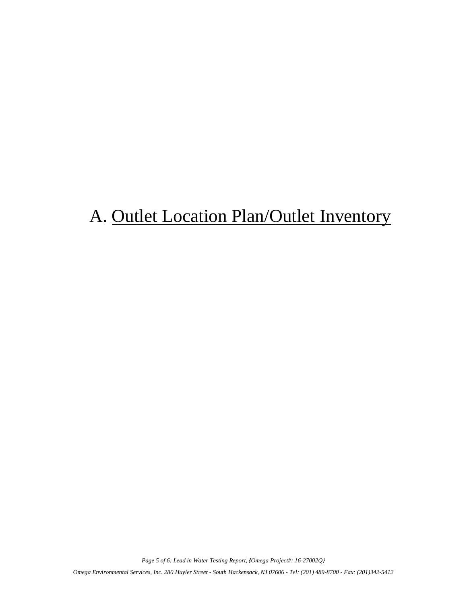# A. Outlet Location Plan/Outlet Inventory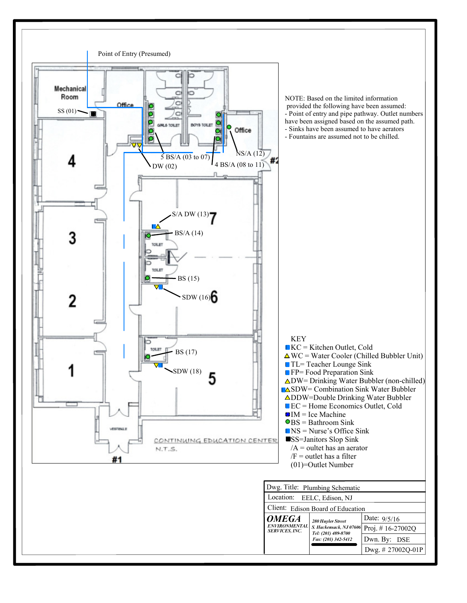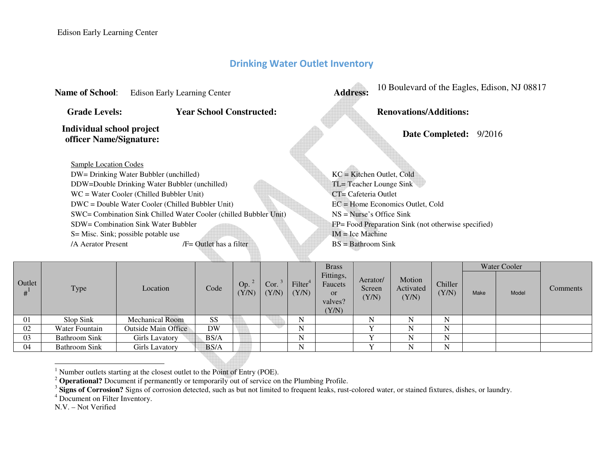# **Drinking Water Outlet Inventory**

| <b>Name of School:</b>                               | <b>Edison Early Learning Center</b>                               | <b>Address:</b>            | 10 Boulevard of the Eagles, Edison, NJ 08817        |  |  |  |  |
|------------------------------------------------------|-------------------------------------------------------------------|----------------------------|-----------------------------------------------------|--|--|--|--|
| <b>Grade Levels:</b>                                 | <b>Year School Constructed:</b>                                   |                            | <b>Renovations/Additions:</b>                       |  |  |  |  |
| Individual school project<br>officer Name/Signature: |                                                                   |                            | 9/2016<br><b>Date Completed:</b>                    |  |  |  |  |
| Sample Location Codes                                |                                                                   |                            |                                                     |  |  |  |  |
|                                                      | DW= Drinking Water Bubbler (unchilled)                            |                            | $KC = Kitchen Outlet, Cold$                         |  |  |  |  |
|                                                      | DDW=Double Drinking Water Bubbler (unchilled)                     | TL= Teacher Lounge Sink    |                                                     |  |  |  |  |
|                                                      | $WC = Water Cooler (Child Bubble Unit)$                           | $CT = C$ afeteria Outlet   |                                                     |  |  |  |  |
|                                                      | DWC = Double Water Cooler (Chilled Bubbler Unit)                  |                            | $EC =$ Home Economics Outlet, Cold                  |  |  |  |  |
|                                                      | SWC= Combination Sink Chilled Water Cooler (chilled Bubbler Unit) | $NS = Nurse's Office Sink$ |                                                     |  |  |  |  |
|                                                      | SDW= Combination Sink Water Bubbler                               |                            | FP= Food Preparation Sink (not otherwise specified) |  |  |  |  |
|                                                      | S = Misc. Sink; possible potable use                              | $IM = Ice Machine$         |                                                     |  |  |  |  |
| /A Aerator Present                                   | $/F =$ Outlet has a filter                                        | $BS = Bathroom$ Sink       |                                                     |  |  |  |  |

|        |                      |                        |           |                      |               |                              | <b>Brass</b>                                          |                             |                              |                  |      | Water Cooler |          |
|--------|----------------------|------------------------|-----------|----------------------|---------------|------------------------------|-------------------------------------------------------|-----------------------------|------------------------------|------------------|------|--------------|----------|
| Outlet | Type                 | Location               | Code      | Op. $\degree$<br>Y/N | Cor.<br>(Y/N) | Filter <sup>4</sup><br>(Y/N) | Fittings,<br>Faucets<br><b>or</b><br>valves?<br>(Y/N) | Aerator/<br>Screen<br>(Y/N) | Motion<br>Activated<br>(Y/N) | Chiller<br>(Y/N) | Make | Model        | Comments |
| 01     | Slop Sink            | <b>Mechanical Room</b> | SS        |                      |               |                              |                                                       | N                           | N                            | N                |      |              |          |
| 02     | Water Fountain       | Outside Main Office    | <b>DW</b> |                      |               | N                            |                                                       |                             | N                            | N                |      |              |          |
| 03     | <b>Bathroom Sink</b> | Girls Lavatory         | BS/A      |                      |               | N                            |                                                       |                             | N                            | N                |      |              |          |
| 04     | <b>Bathroom Sink</b> | Girls Lavatory         | BS/A      |                      |               | N                            |                                                       |                             |                              | N                |      |              |          |

<sup>1</sup> Number outlets starting at the closest outlet to the Point of Entry (POE).<br><sup>2</sup> **Operational?** Document if permanently or temporarily out of service on the Plumbing Profile.<br><sup>3</sup> **Signs of Corrosion?** Signs of corrosion

N.V. – Not Verified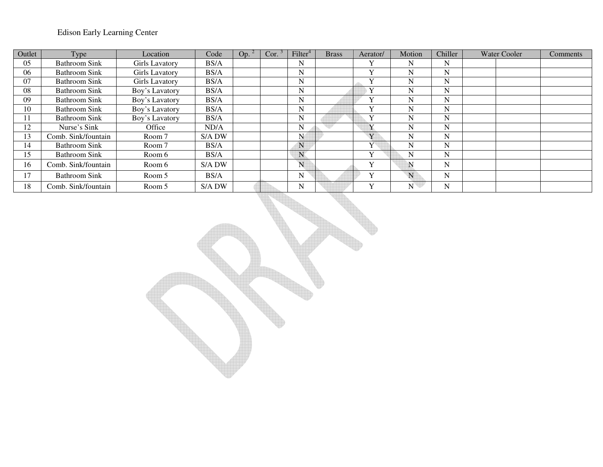# Edison Early Learning Center

| Outlet          | Type                 | Location       | Code   | Op. | Cor. | Filter <sup>4</sup> | <b>Brass</b> | Aerator/                | Motion      | Chiller | <b>Water Cooler</b> | <b>Comments</b> |
|-----------------|----------------------|----------------|--------|-----|------|---------------------|--------------|-------------------------|-------------|---------|---------------------|-----------------|
| 05              | Bathroom Sink        | Girls Lavatory | BS/A   |     |      | N                   |              | Y                       | N           | N       |                     |                 |
| 06              | <b>Bathroom Sink</b> | Girls Lavatory | BS/A   |     |      | N                   |              | $\mathbf{v}$            | N           | N       |                     |                 |
| 07              | Bathroom Sink        | Girls Lavatory | BS/A   |     |      | N                   |              | Y                       | N           | N       |                     |                 |
| 08              | Bathroom Sink        | Boy's Lavatory | BS/A   |     |      | N                   |              |                         | N           | N       |                     |                 |
| 09              | <b>Bathroom Sink</b> | Boy's Lavatory | BS/A   |     |      | N                   |              | $\mathbf v$             | N           | N       |                     |                 |
| 10              | Bathroom Sink        | Boy's Lavatory | BS/A   |     |      | N                   |              | $\mathbf v$             | N           | N       |                     |                 |
|                 | Bathroom Sink        | Boy's Lavatory | BS/A   |     |      | N                   |              | Y                       | N           | N       |                     |                 |
| $\overline{2}$  | Nurse's Sink         | Office         | ND/A   |     |      | N                   |              |                         | N           | N       |                     |                 |
| 13              | Comb. Sink/fountain  | Room 7         | S/A DW |     |      | N                   |              | Y                       | N           | N       |                     |                 |
| $\vert 4 \vert$ | <b>Bathroom Sink</b> | Room 7         | BS/A   |     |      | N                   |              | $\overline{\mathbf{V}}$ | N           | N       |                     |                 |
| .5              | Bathroom Sink        | Room 6         | BS/A   |     |      | ${\bf N}$           |              | $\mathbf v$             | $\mathbf N$ | N       |                     |                 |
| 16              | Comb. Sink/fountain  | Room 6         | S/A DW |     |      | N                   |              | $\mathbf{v}$            | N           | N       |                     |                 |
| 7               | Bathroom Sink        | Room 5         | BS/A   |     |      | $\mathbf N$         |              | Y                       | N           | N       |                     |                 |
| 18              | Comb. Sink/fountain  | Room 5         | S/A DW |     |      | N                   |              | $\mathbf{v}$            | N           | N       |                     |                 |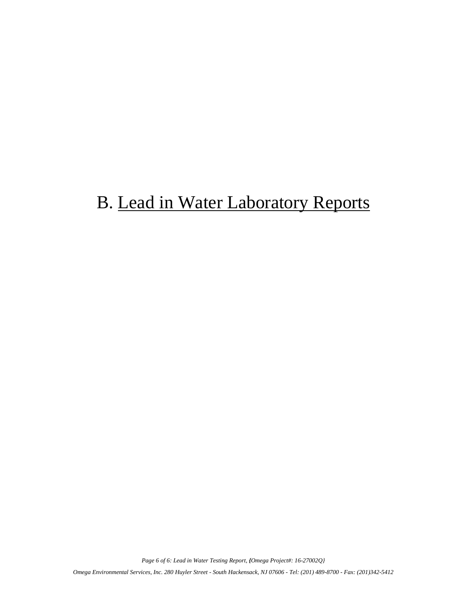# B. Lead in Water Laboratory Reports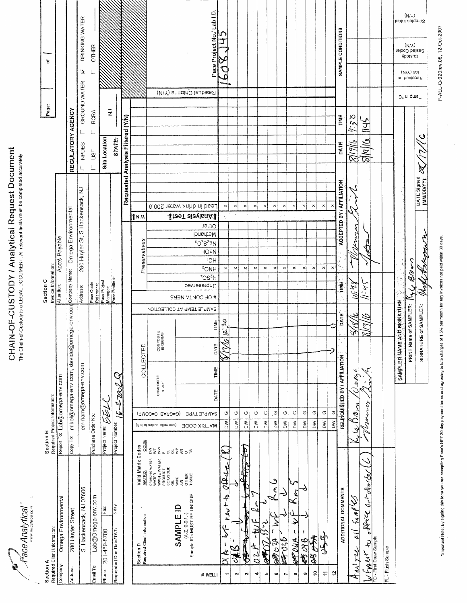$P_{\text{AC}}$  Analytical"

# CHAIN-OF-CUSTODY / Analytical Request Document<br>The Chain-of-Custody is a LEGAL DOCUMENT. All relevant fields must be completed accurately.

| Section A         | Required Client Information:                                                                                        | Section B<br>Required Project Information:                                                         |                           | Invoice Information:<br>Section C        |                                                                                                                          |                            |                                   | Page:                   |                         | ৳                                 |                                 |
|-------------------|---------------------------------------------------------------------------------------------------------------------|----------------------------------------------------------------------------------------------------|---------------------------|------------------------------------------|--------------------------------------------------------------------------------------------------------------------------|----------------------------|-----------------------------------|-------------------------|-------------------------|-----------------------------------|---------------------------------|
| Company:          | Omega Environmental                                                                                                 | Report To: Lab@omega-env.com                                                                       |                           | Attention:                               | Accts Payable                                                                                                            |                            |                                   |                         |                         |                                   |                                 |
| Address:          | 280 Huyler Street                                                                                                   | mikel@omega-env.com, davide@omega-env.com<br>Copy To:                                              |                           | Company Name:                            | Omega Environmental                                                                                                      |                            | REGULATORY AGENCY                 |                         |                         |                                   |                                 |
|                   | S. Hackensack, NJ 07606                                                                                             | emmam@omega-env.com                                                                                |                           | Address:                                 | 280 Huyler St, S Hackensack, NJ                                                                                          |                            | NPDES                             | GROUND WATER            | Δ                       | DRINKING WATER                    |                                 |
| Email To:         | Lab@Omega-env.com                                                                                                   | Purchase Order No.                                                                                 |                           | Pace Quote<br>Reference:<br>Pace Project |                                                                                                                          |                            | UST                               | <b>RCRA</b>             |                         | <b>OTHER</b>                      |                                 |
| Phone:            | Fax:<br>201-489-8700                                                                                                | 医学<br>Project Name:                                                                                |                           | <b>Manager:</b>                          |                                                                                                                          |                            | <b>Site Location</b>              | $\gtrsim$               |                         |                                   |                                 |
|                   | 5 day<br>Requested Due Date/TAT:                                                                                    | Ó<br>$16 - 27002$<br>Project Number:                                                               |                           | Pace Profile #                           |                                                                                                                          |                            | STATE:                            |                         |                         |                                   |                                 |
|                   |                                                                                                                     |                                                                                                    |                           |                                          |                                                                                                                          |                            | Requested Analysis Filtered (Y/N) |                         |                         |                                   |                                 |
|                   | Valid Matrix Codes<br>MATRIX<br>Section D<br>Required Client Information                                            | COLLECTED<br>CODE                                                                                  |                           |                                          | Preservatives                                                                                                            | ↑N./J                      |                                   |                         |                         |                                   |                                 |
|                   | $\frac{3}{5}$ $\lesssim$<br>DRINKING WATER<br>WATER<br>WASTE WATER<br>PRODUCT<br>SOIL/SOLID                         | COMPOSITE<br>END/GRAB<br>COMPOSITE<br><b>START</b><br>(9MO0=0 BARD=0)<br>(fiel of zeboo bilsv eez) | SAMPLE TEMP AT COLLECTION |                                          |                                                                                                                          | 8.00S 1efaw Xninb ni bae.  |                                   |                         |                         |                                   |                                 |
|                   | $-5557$<br>AIR<br>OTHER<br>TISSUE<br>ou.<br>MPE<br>(A-Z, 0-9 / ,-)<br>Sample IDs MUST BE UNIQUE<br><b>SAMPLE ID</b> |                                                                                                    |                           | # OF CONTAINERS                          |                                                                                                                          | <b>JizeT zizvisnA1</b>     |                                   | Residual Chlorine (Y/N) |                         |                                   |                                 |
| HEW#              |                                                                                                                     | DATE<br>TIME<br>DATE<br><b>SAMPLE TYPE</b><br><b>SOOD XIRTAM</b>                                   | TIME                      | *OS <sup>Z</sup> H<br>Unpresended        | Other<br>Methanol<br><sup>2</sup> O <sup>2</sup> S <sup>2</sup> BN<br><b>HO<sub>E</sub></b><br><b>IOH</b><br><b>FONH</b> |                            |                                   |                         |                         | Pace Project No./Lab I.D.         |                                 |
| ÷                 | Africe<br>÷,<br>$n \ell \ell$<br>Ĥ<br>Ł<br>ł<br>$\frac{1}{2}$                                                       | $\overline{\mathcal{J}}$<br>$\overline{\omega}$<br>É,<br>$_{\circ}$<br>$\sum$                      | $\mathcal{C}_i$           |                                          | $\times$                                                                                                                 | $\times$                   |                                   |                         | $\tilde{c}$             | J<br>Ò                            |                                 |
| $\sim$            | ैं                                                                                                                  | $\circlearrowleft$<br>$\geq$                                                                       |                           |                                          | $\pmb{\times}$                                                                                                           | $\pmb{\times}$             |                                   |                         |                         |                                   |                                 |
| <b>SP</b>         | þ<br>$\sum_{i=1}^n$                                                                                                 | $\circlearrowright$<br>$\geq$                                                                      |                           |                                          | $\times$                                                                                                                 | $\pmb{\times}$             |                                   |                         |                         |                                   |                                 |
| $\blacksquare$    | ٤<br>en f<br>$\overline{c}$                                                                                         | $\circlearrowleft$<br>$\geq$                                                                       |                           |                                          | $\pmb{\times}$                                                                                                           | $\boldsymbol{\times}$      |                                   |                         |                         |                                   |                                 |
| s,                | ಲ<br>C. R.                                                                                                          | $_{\circ}$<br>$\geq$                                                                               |                           |                                          | $\pmb{\times}$                                                                                                           | $\times$                   |                                   |                         |                         |                                   |                                 |
| ¢                 | ಿ<br>$\epsilon$<br>ن<br>می                                                                                          | O<br>$\geq$                                                                                        |                           |                                          | $\pmb{\times}$                                                                                                           | $\pmb{\times}$             |                                   |                         |                         |                                   |                                 |
| r                 | 星品                                                                                                                  | O<br>$\geq$                                                                                        |                           |                                          | $\times$                                                                                                                 | $\times$                   |                                   |                         |                         |                                   |                                 |
| $\infty$<br>o     | د<br>f,<br>J<br><b>SHOCK</b><br>时叫                                                                                  | $\mathbb{C}$<br>O<br>$\geq$<br>MQ                                                                  |                           |                                          | ×<br>$\pmb{\times}$                                                                                                      | ×<br>$\,\varkappa$         |                                   |                         |                         |                                   |                                 |
| $\frac{1}{2}$     | 某合造                                                                                                                 | O<br>$\geq$                                                                                        |                           |                                          | $\times$                                                                                                                 | $\pmb{\times}$             |                                   |                         |                         |                                   |                                 |
| Φ                 | ម្មា<br>$\frac{1}{2}$                                                                                               | $\circ$  <br><b>NO</b>                                                                             |                           |                                          | $\times$                                                                                                                 | $\pmb{\times}$             |                                   |                         |                         |                                   |                                 |
| $\ddot{ }$        |                                                                                                                     | O<br>$\geq$                                                                                        |                           |                                          | ×                                                                                                                        | $\boldsymbol{\mathsf{x}}$  |                                   |                         |                         |                                   |                                 |
|                   | ADDITIONAL COMMENTS                                                                                                 | RELINQUISHED BY / AFFILIATION                                                                      | <b>DATE</b>               | TIME                                     |                                                                                                                          | ACCEPTED BY / AFFILIATION  | TIME<br><b>DATE</b>               |                         |                         | SAMPLE CONDITIONS                 |                                 |
| r<br>Trai         | Samp 45<br>أيا<br>126                                                                                               | ぺ<br>ر<br>42/<br>$\omega$ Den                                                                      |                           | 10:48                                    | $2 - 24$                                                                                                                 |                            | 85.6<br>8) (9/16                  |                         |                         |                                   |                                 |
|                   | affrice out deal by<br>FD - First Draw Sample<br>FARY to                                                            | ਸ਼ੋਣ<br>Ζ,<br>Wonner                                                                               | $\widetilde{\epsilon}$    | しょこ                                      | exO=                                                                                                                     |                            | 1445<br>$\frac{1}{\sqrt{2}}$      |                         |                         |                                   |                                 |
| FL - Flush Sample |                                                                                                                     |                                                                                                    |                           |                                          |                                                                                                                          |                            |                                   |                         |                         |                                   |                                 |
|                   |                                                                                                                     | SAMPLER NAME AND SIGNATURE                                                                         |                           |                                          |                                                                                                                          |                            |                                   |                         |                         |                                   |                                 |
|                   |                                                                                                                     | PRINT Name of SAMPLER:                                                                             |                           | BD                                       |                                                                                                                          |                            |                                   | J° ni qmeT              | (V/Y) 90<br>Received on | Sealed Cooler<br>(V/Y)<br>Custody | $(N/\lambda)$<br>Samples Intact |
|                   |                                                                                                                     | SIGNATURE of SAMPLER:                                                                              |                           |                                          | التواسمية                                                                                                                | DATE Signed<br>(MM/DD/YY): | ى<br>₹                            |                         |                         |                                   |                                 |
|                   |                                                                                                                     |                                                                                                    |                           |                                          |                                                                                                                          |                            |                                   |                         |                         |                                   |                                 |

'mpodant Note: By signing this form you are accepting Pace's NET 30 day payment lerms and agreeing to late changes of 1.5% per month for any involces not paid within 30 days.

F-ALL-Q-020rev.08, 12-Oct-2007

J.

 $\hat{\mathcal{A}}$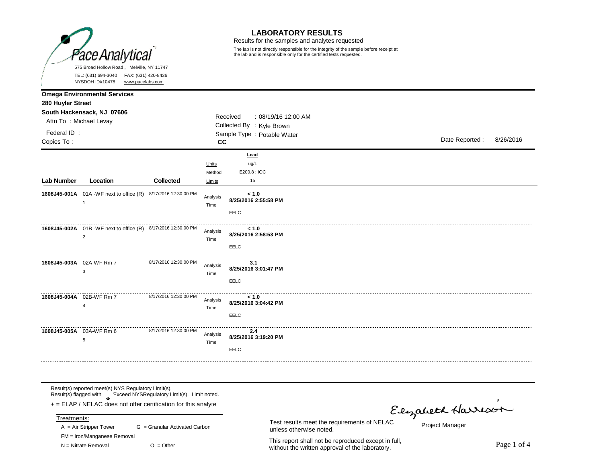

### **LABORATORY RESULTS**

Results for the samples and analytes requested

The lab is not directly responsible for the integrity of the sample before receipt at the lab and is responsible only for the certified tests requested.

|                           | $1$ 19 וויטעט זיין<br><u>www.pacelabs.com</u>                                      |                       |                           |                                                              |  |                |           |
|---------------------------|------------------------------------------------------------------------------------|-----------------------|---------------------------|--------------------------------------------------------------|--|----------------|-----------|
| 280 Huyler Street         | <b>Omega Environmental Services</b>                                                |                       |                           |                                                              |  |                |           |
|                           | South Hackensack, NJ 07606<br>Attn To: Michael Levay                               |                       |                           | Received<br>: 08/19/16 12:00 AM<br>Collected By : Kyle Brown |  |                |           |
| Federal ID:<br>Copies To: |                                                                                    |                       | CC.                       | Sample Type : Potable Water                                  |  | Date Reported: | 8/26/2016 |
| Lab Number                | Location                                                                           | <b>Collected</b>      | Units<br>Method<br>Limits | Lead<br>ug/L<br>E200.8: IOC<br>15                            |  |                |           |
|                           | 1608J45-001A 01A -WF next to office (R) 8/17/2016 12:30:00 PM<br>$\overline{1}$    |                       | Analysis<br>Time          | < 1.0<br>8/25/2016 2:55:58 PM<br>EELC                        |  |                |           |
|                           | 1608J45-002A  01B - WF next to office (R)  8/17/2016 12:30:00 PM<br>$\overline{2}$ |                       | Analysis<br>Time          | < 1.0<br>8/25/2016 2:58:53 PM<br>EELC                        |  |                |           |
|                           | 1608J45-003A 02A-WF Rm 7<br>3                                                      | 8/17/2016 12:30:00 PM | Analysis<br>Time          | 3.1<br>8/25/2016 3:01:47 PM<br>EELC                          |  |                |           |
|                           | 1608J45-004A 02B-WF Rm 7<br>$\overline{4}$                                         | 8/17/2016 12:30:00 PM | Analysis<br>Time          | < 1.0<br>8/25/2016 3:04:42 PM<br>EELC                        |  |                |           |
|                           | 1608J45-005A 03A-WF Rm 6<br>5                                                      | 8/17/2016 12:30:00 PM | Analysis<br>Time          | 2.4<br>8/25/2016 3:19:20 PM<br>EELC                          |  |                |           |

Result(s) reported meet(s) NYS Regulatory Limit(s). Result(s) flagged with Exceed NYSRegulatory Limit(s). Limit noted.

**\*** + = ELAP / NELAC does not offer certification for this analyte

| Treatments:                 |                               |
|-----------------------------|-------------------------------|
| $A = Air Strepper Tower$    | G = Granular Activated Carbon |
| FM = Iron/Manganese Removal |                               |
| $N =$ Nitrate Removal       | $O = Other$                   |

unless otherwise noted.

This report shall not be reproduced except in full, without the written approval of the laboratory.<br>Without the written approval of the laboratory.

Test results meet the requirements of NELAC<br>Project Manager

Project Manager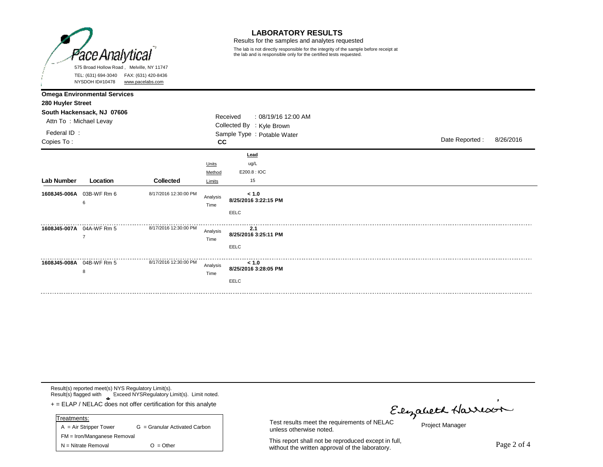

### **LABORATORY RESULTS**

Results for the samples and analytes requested

The lab is not directly responsible for the integrity of the sample before receipt at the lab and is responsible only for the certified tests requested.

|                                                | NYSDOH ID#10478                                                                             | www.pacelabs.com      |                           |                                                                                             |  |                |           |
|------------------------------------------------|---------------------------------------------------------------------------------------------|-----------------------|---------------------------|---------------------------------------------------------------------------------------------|--|----------------|-----------|
| 280 Huyler Street<br>Federal ID:<br>Copies To: | <b>Omega Environmental Services</b><br>South Hackensack, NJ 07606<br>Attn To: Michael Levay |                       | CC                        | Received<br>: 08/19/16 12:00 AM<br>Collected By : Kyle Brown<br>Sample Type : Potable Water |  | Date Reported: | 8/26/2016 |
| Lab Number                                     | Location                                                                                    | <b>Collected</b>      | Units<br>Method<br>Limits | Lead<br>ug/L<br>E200.8: IOC<br>15                                                           |  |                |           |
|                                                | 1608J45-006A 03B-WF Rm 6<br>6                                                               | 8/17/2016 12:30:00 PM | Analysis<br>Time          | < 1.0<br>8/25/2016 3:22:15 PM<br>EELC                                                       |  |                |           |
|                                                | 1608J45-007A 04A-WF Rm 5<br>$\overline{7}$                                                  | 8/17/2016 12:30:00 PM | Analysis<br>Time          | 2.1<br>8/25/2016 3:25:11 PM<br>EELC                                                         |  |                |           |
|                                                | 1608J45-008A 04B-WF Rm 5<br>8                                                               | 8/17/2016 12:30:00 PM | Analysis<br>Time          | < 1.0<br>8/25/2016 3:28:05 PM<br>EELC                                                       |  |                |           |

Result(s) reported meet(s) NYS Regulatory Limit(s). Result(s) flagged with Exceed NYSRegulatory Limit(s). Limit noted.

**\*** + = ELAP / NELAC does not offer certification for this analyte

| Treatments:                 |                               |
|-----------------------------|-------------------------------|
| $A = Air Strepper Tower$    | G = Granular Activated Carbon |
| FM = Iron/Manganese Removal |                               |
| $N =$ Nitrate Removal       | $O = Other$                   |

Test results meet the requirements of NELAC<br>Test results meet the requirements of NELAC

Project Manager

This report shall not be reproduced except in full, This report shall not be reproduced except in full,<br>without the written approval of the laboratory.

unless otherwise noted.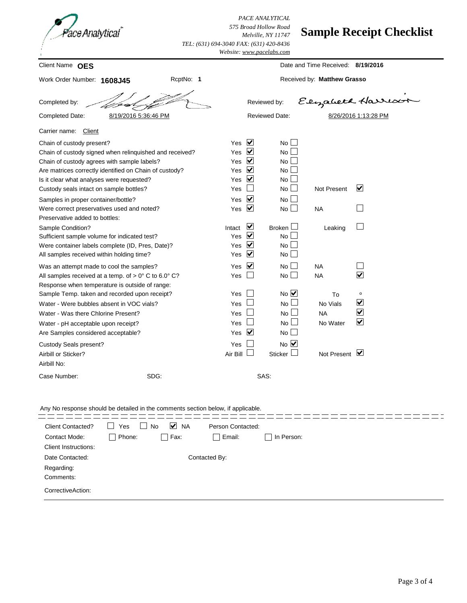*PACE ANALYTICAL 575 Broad Hollow Road Melville, NY 11747 TEL: (631) 694-3040 FAX: (631) 420-8436*

# **Sample Receipt Checklist**

|                                                                                                                                                                                                                                            |                                 |                                                                                                            | Website: www.pacelabs.com                                  |                                         |                                                                                            |  |  |  |
|--------------------------------------------------------------------------------------------------------------------------------------------------------------------------------------------------------------------------------------------|---------------------------------|------------------------------------------------------------------------------------------------------------|------------------------------------------------------------|-----------------------------------------|--------------------------------------------------------------------------------------------|--|--|--|
| Client Name OES                                                                                                                                                                                                                            |                                 | Date and Time Received: 8/19/2016                                                                          |                                                            |                                         |                                                                                            |  |  |  |
| RcptNo: 1<br>Work Order Number: 1608J45                                                                                                                                                                                                    |                                 | Received by: Matthew Grasso                                                                                |                                                            |                                         |                                                                                            |  |  |  |
| Completed by:                                                                                                                                                                                                                              |                                 |                                                                                                            | Reviewed by:                                               |                                         | Elizabeth Harrison                                                                         |  |  |  |
| 8/19/2016 5:36:46 PM<br>Completed Date:                                                                                                                                                                                                    |                                 |                                                                                                            | <b>Reviewed Date:</b>                                      |                                         | 8/26/2016 1:13:28 PM                                                                       |  |  |  |
| Carrier name:<br>Client                                                                                                                                                                                                                    |                                 |                                                                                                            |                                                            |                                         |                                                                                            |  |  |  |
| Chain of custody present?<br>Chain of custody signed when relinquished and received?<br>Chain of custody agrees with sample labels?<br>Are matrices correctly identified on Chain of custody?<br>Is it clear what analyses were requested? | Yes<br>Yes<br>Yes<br>Yes<br>Yes | $\overline{\mathbf{v}}$<br>$\blacktriangledown$<br>$\overline{\mathbf{v}}$<br>$\overline{\mathbf{v}}$<br>⊻ | $No \Box$<br>No L<br>$No$ $\Box$<br>No l<br>No L           |                                         |                                                                                            |  |  |  |
| Custody seals intact on sample bottles?<br>Samples in proper container/bottle?<br>Were correct preservatives used and noted?                                                                                                               | Yes<br>Yes<br>Yes               | $\blacktriangledown$<br>$\overline{\mathbf{v}}$                                                            | No $\Box$<br>No L<br>No $\Box$                             | <b>Not Present</b><br><b>NA</b>         | $\vert\mathbf{v}\vert$                                                                     |  |  |  |
| Preservative added to bottles:<br>Sample Condition?<br>Sufficient sample volume for indicated test?<br>Were container labels complete (ID, Pres, Date)?<br>All samples received within holding time?                                       | Intact<br>Yes<br>Yes<br>Yes     | ⊻<br>$\overline{\mathbf{v}}$<br>$\overline{\mathbf{v}}$<br>$\blacktriangledown$                            | Broken $\Box$<br>$No$ $\Box$<br>No<br>$No \Box$            | Leaking                                 |                                                                                            |  |  |  |
| Was an attempt made to cool the samples?<br>All samples received at a temp. of $> 0^{\circ}$ C to 6.0° C?<br>Response when temperature is outside of range:                                                                                | Yes<br>Yes                      | $\blacktriangledown$                                                                                       | $No \BoxNo \Box$                                           | <b>NA</b><br><b>NA</b>                  | $\overline{\mathbf{v}}$                                                                    |  |  |  |
| Sample Temp. taken and recorded upon receipt?<br>Water - Were bubbles absent in VOC vials?<br>Water - Was there Chlorine Present?<br>Water - pH acceptable upon receipt?<br>Are Samples considered acceptable?                             | Yes<br>Yes<br>Yes<br>Yes<br>Yes | $\blacktriangledown$                                                                                       | $No$ $\vee$<br><b>No</b><br>No<br>لے ا<br><b>No</b><br>No. | To<br>No Vials<br><b>NA</b><br>No Water | $\circ$<br>$\blacktriangledown$<br>$\overline{\blacktriangledown}$<br>$\blacktriangledown$ |  |  |  |
| Custody Seals present?<br>Airbill or Sticker?<br>Airbill No:                                                                                                                                                                               | Yes<br>Air Bill                 |                                                                                                            | $No$ $\overline{\vee}$<br>Sticker $\Box$                   | Not Present $\triangledown$             |                                                                                            |  |  |  |
| SDG:<br>Case Number:                                                                                                                                                                                                                       |                                 |                                                                                                            | SAS:                                                       |                                         |                                                                                            |  |  |  |
| Any No response should be detailed in the comments section below, if applicable.                                                                                                                                                           |                                 |                                                                                                            |                                                            |                                         |                                                                                            |  |  |  |

| <b>Client Contacted?</b>    | Yes           | ⊻<br><b>NA</b><br><b>No</b> | Person Contacted: |            |
|-----------------------------|---------------|-----------------------------|-------------------|------------|
| Contact Mode:               | Phone:        | Fax:                        | Email:            | In Person: |
| <b>Client Instructions:</b> |               |                             |                   |            |
| Date Contacted:             | Contacted By: |                             |                   |            |
| Regarding:                  |               |                             |                   |            |
| Comments:                   |               |                             |                   |            |
| CorrectiveAction:           |               |                             |                   |            |